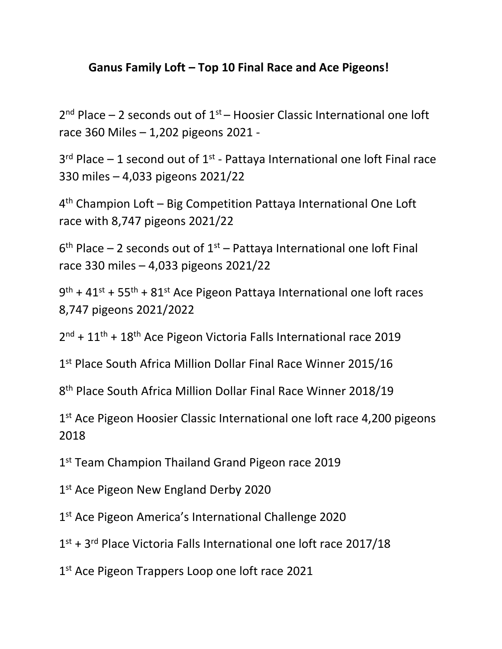## **Ganus Family Loft – Top 10 Final Race and Ace Pigeons!**

 $2^{nd}$  Place – 2 seconds out of  $1^{st}$  – Hoosier Classic International one loft race 360 Miles – 1,202 pigeons 2021 -

 $3<sup>rd</sup>$  Place  $-1$  second out of  $1<sup>st</sup>$  - Pattaya International one loft Final race 330 miles – 4,033 pigeons 2021/22

4<sup>th</sup> Champion Loft – Big Competition Pattaya International One Loft race with 8,747 pigeons 2021/22

 $6<sup>th</sup>$  Place – 2 seconds out of  $1<sup>st</sup>$  – Pattaya International one loft Final race 330 miles – 4,033 pigeons 2021/22

9<sup>th</sup> + 41<sup>st</sup> + 55<sup>th</sup> + 81<sup>st</sup> Ace Pigeon Pattaya International one loft races 8,747 pigeons 2021/2022

2<sup>nd</sup> + 11<sup>th</sup> + 18<sup>th</sup> Ace Pigeon Victoria Falls International race 2019

1<sup>st</sup> Place South Africa Million Dollar Final Race Winner 2015/16

8 th Place South Africa Million Dollar Final Race Winner 2018/19

1<sup>st</sup> Ace Pigeon Hoosier Classic International one loft race 4,200 pigeons 2018

1<sup>st</sup> Team Champion Thailand Grand Pigeon race 2019

1st Ace Pigeon New England Derby 2020

1<sup>st</sup> Ace Pigeon America's International Challenge 2020

1<sup>st</sup> + 3<sup>rd</sup> Place Victoria Falls International one loft race 2017/18

1<sup>st</sup> Ace Pigeon Trappers Loop one loft race 2021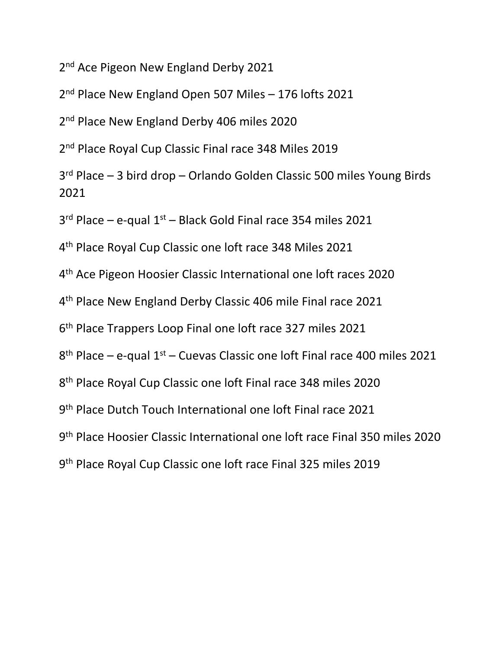2<sup>nd</sup> Ace Pigeon New England Derby 2021

2<sup>nd</sup> Place New England Open 507 Miles - 176 lofts 2021

2<sup>nd</sup> Place New England Derby 406 miles 2020

2<sup>nd</sup> Place Royal Cup Classic Final race 348 Miles 2019

 rd Place – 3 bird drop – Orlando Golden Classic 500 miles Young Birds 

3<sup>rd</sup> Place – e-qual 1<sup>st</sup> – Black Gold Final race 354 miles 2021

th Place Royal Cup Classic one loft race 348 Miles 2021

th Ace Pigeon Hoosier Classic International one loft races 2020

th Place New England Derby Classic 406 mile Final race 2021

th Place Trappers Loop Final one loft race 327 miles 2021

8<sup>th</sup> Place – e-qual 1<sup>st</sup> – Cuevas Classic one loft Final race 400 miles 2021

th Place Royal Cup Classic one loft Final race 348 miles 2020

th Place Dutch Touch International one loft Final race 2021

th Place Hoosier Classic International one loft race Final 350 miles 2020

th Place Royal Cup Classic one loft race Final 325 miles 2019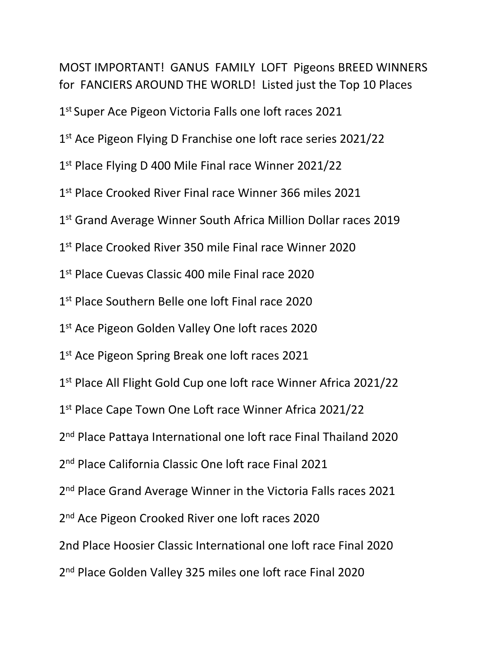MOST IMPORTANT! GANUS FAMILY LOFT Pigeons BREED WINNERS for FANCIERS AROUND THE WORLD! Listed just the Top 10 Places 1<sup>st</sup> Super Ace Pigeon Victoria Falls one loft races 2021 1<sup>st</sup> Ace Pigeon Flying D Franchise one loft race series 2021/22 1<sup>st</sup> Place Flying D 400 Mile Final race Winner 2021/22 1<sup>st</sup> Place Crooked River Final race Winner 366 miles 2021 1<sup>st</sup> Grand Average Winner South Africa Million Dollar races 2019 1<sup>st</sup> Place Crooked River 350 mile Final race Winner 2020 1 st Place Cuevas Classic 400 mile Final race 2020 1<sup>st</sup> Place Southern Belle one loft Final race 2020 1st Ace Pigeon Golden Valley One loft races 2020 1<sup>st</sup> Ace Pigeon Spring Break one loft races 2021 1<sup>st</sup> Place All Flight Gold Cup one loft race Winner Africa 2021/22 1<sup>st</sup> Place Cape Town One Loft race Winner Africa 2021/22 2<sup>nd</sup> Place Pattaya International one loft race Final Thailand 2020 2<sup>nd</sup> Place California Classic One loft race Final 2021 2<sup>nd</sup> Place Grand Average Winner in the Victoria Falls races 2021 2<sup>nd</sup> Ace Pigeon Crooked River one loft races 2020 2nd Place Hoosier Classic International one loft race Final 2020 2<sup>nd</sup> Place Golden Valley 325 miles one loft race Final 2020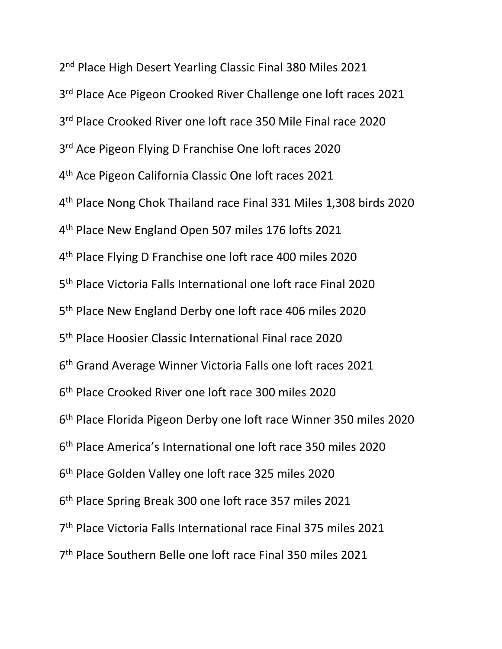2<sup>nd</sup> Place High Desert Yearling Classic Final 380 Miles 2021 3<sup>rd</sup> Place Ace Pigeon Crooked River Challenge one loft races 2021 3<sup>rd</sup> Place Crooked River one loft race 350 Mile Final race 2020 3<sup>rd</sup> Ace Pigeon Flying D Franchise One loft races 2020 th Ace Pigeon California Classic One loft races 2021 th Place Nong Chok Thailand race Final 331 Miles 1,308 birds 2020 th Place New England Open 507 miles 176 lofts 2021 th Place Flying D Franchise one loft race 400 miles 2020 th Place Victoria Falls International one loft race Final 2020 th Place New England Derby one loft race 406 miles 2020 5<sup>th</sup> Place Hoosier Classic International Final race 2020 th Grand Average Winner Victoria Falls one loft races 2021 th Place Crooked River one loft race 300 miles 2020 th Place Florida Pigeon Derby one loft race Winner 350 miles 2020 th Place America's International one loft race 350 miles 2020 th Place Golden Valley one loft race 325 miles 2020 th Place Spring Break 300 one loft race 357 miles 2021 th Place Victoria Falls International race Final 375 miles 2021 th Place Southern Belle one loft race Final 350 miles 2021